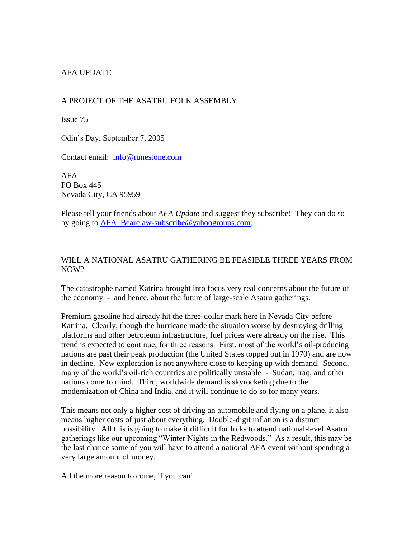# AFA UPDATE

# A PROJECT OF THE ASATRU FOLK ASSEMBLY

Issue 75

Odin's Day, September 7, 2005

Contact email: [info@runestone.com](mailto:info@runestone.com)

AFA PO Box 445 Nevada City, CA 95959

Please tell your friends about *AFA Update* and suggest they subscribe! They can do so by going to [AFA\\_Bearclaw-subscribe@yahoogroups.com.](mailto:AFA_Bearclaw-subscribe@yahoogroups.com)

### WILL A NATIONAL ASATRU GATHERING BE FEASIBLE THREE YEARS FROM NOW?

The catastrophe named Katrina brought into focus very real concerns about the future of the economy - and hence, about the future of large-scale Asatru gatherings.

Premium gasoline had already hit the three-dollar mark here in Nevada City before Katrina. Clearly, though the hurricane made the situation worse by destroying drilling platforms and other petroleum infrastructure, fuel prices were already on the rise. This trend is expected to continue, for three reasons: First, most of the world's oil-producing nations are past their peak production (the United States topped out in 1970) and are now in decline. New exploration is not anywhere close to keeping up with demand. Second, many of the world's oil-rich countries are politically unstable - Sudan, Iraq, and other nations come to mind. Third, worldwide demand is skyrocketing due to the modernization of China and India, and it will continue to do so for many years.

This means not only a higher cost of driving an automobile and flying on a plane, it also means higher costs of just about everything. Double-digit inflation is a distinct possibility. All this is going to make it difficult for folks to attend national-level Asatru gatherings like our upcoming "Winter Nights in the Redwoods." As a result, this may be the last chance some of you will have to attend a national AFA event without spending a very large amount of money.

All the more reason to come, if you can!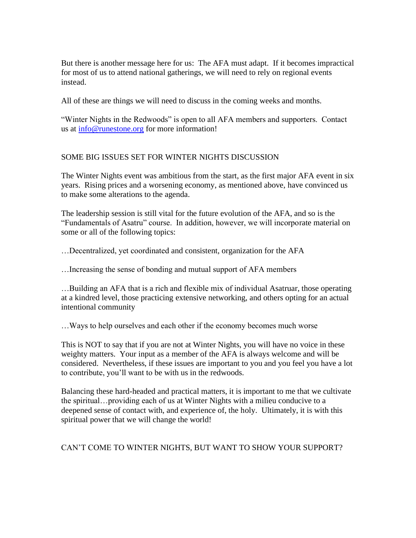But there is another message here for us: The AFA must adapt. If it becomes impractical for most of us to attend national gatherings, we will need to rely on regional events instead.

All of these are things we will need to discuss in the coming weeks and months.

"Winter Nights in the Redwoods" is open to all AFA members and supporters. Contact us at [info@runestone.org](mailto:info@runestone.org) for more information!

### SOME BIG ISSUES SET FOR WINTER NIGHTS DISCUSSION

The Winter Nights event was ambitious from the start, as the first major AFA event in six years. Rising prices and a worsening economy, as mentioned above, have convinced us to make some alterations to the agenda.

The leadership session is still vital for the future evolution of the AFA, and so is the "Fundamentals of Asatru" course. In addition, however, we will incorporate material on some or all of the following topics:

…Decentralized, yet coordinated and consistent, organization for the AFA

…Increasing the sense of bonding and mutual support of AFA members

…Building an AFA that is a rich and flexible mix of individual Asatruar, those operating at a kindred level, those practicing extensive networking, and others opting for an actual intentional community

…Ways to help ourselves and each other if the economy becomes much worse

This is NOT to say that if you are not at Winter Nights, you will have no voice in these weighty matters. Your input as a member of the AFA is always welcome and will be considered. Nevertheless, if these issues are important to you and you feel you have a lot to contribute, you'll want to be with us in the redwoods.

Balancing these hard-headed and practical matters, it is important to me that we cultivate the spiritual…providing each of us at Winter Nights with a milieu conducive to a deepened sense of contact with, and experience of, the holy. Ultimately, it is with this spiritual power that we will change the world!

# CAN'T COME TO WINTER NIGHTS, BUT WANT TO SHOW YOUR SUPPORT?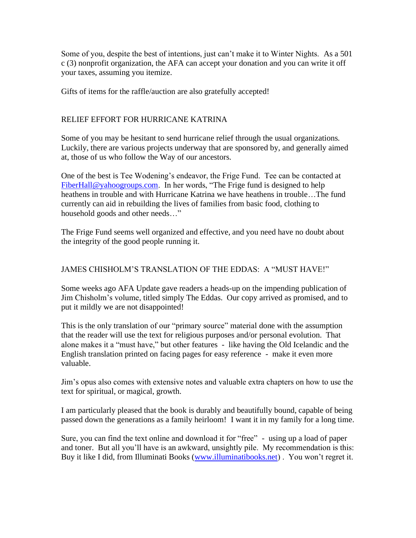Some of you, despite the best of intentions, just can't make it to Winter Nights. As a 501 c (3) nonprofit organization, the AFA can accept your donation and you can write it off your taxes, assuming you itemize.

Gifts of items for the raffle/auction are also gratefully accepted!

# RELIEF EFFORT FOR HURRICANE KATRINA

Some of you may be hesitant to send hurricane relief through the usual organizations. Luckily, there are various projects underway that are sponsored by, and generally aimed at, those of us who follow the Way of our ancestors.

One of the best is Tee Wodening's endeavor, the Frige Fund. Tee can be contacted at [FiberHall@yahoogroups.com.](mailto:FiberHall@yahoogroups.com) In her words, "The Frige fund is designed to help heathens in trouble and with Hurricane Katrina we have heathens in trouble…The fund currently can aid in rebuilding the lives of families from basic food, clothing to household goods and other needs…"

The Frige Fund seems well organized and effective, and you need have no doubt about the integrity of the good people running it.

## JAMES CHISHOLM'S TRANSLATION OF THE EDDAS: A "MUST HAVE!"

Some weeks ago AFA Update gave readers a heads-up on the impending publication of Jim Chisholm's volume, titled simply The Eddas. Our copy arrived as promised, and to put it mildly we are not disappointed!

This is the only translation of our "primary source" material done with the assumption that the reader will use the text for religious purposes and/or personal evolution. That alone makes it a "must have," but other features - like having the Old Icelandic and the English translation printed on facing pages for easy reference - make it even more valuable.

Jim's opus also comes with extensive notes and valuable extra chapters on how to use the text for spiritual, or magical, growth.

I am particularly pleased that the book is durably and beautifully bound, capable of being passed down the generations as a family heirloom! I want it in my family for a long time.

Sure, you can find the text online and download it for "free" - using up a load of paper and toner. But all you'll have is an awkward, unsightly pile. My recommendation is this: Buy it like I did, from Illuminati Books [\(www.illuminatibooks.net\)](http://www.illuminatibooks.net/). You won't regret it.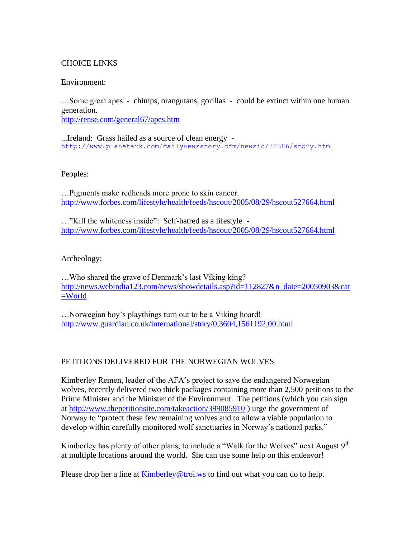## CHOICE LINKS

#### Environment:

…Some great apes - chimps, orangutans, gorillas - could be extinct within one human generation. <http://rense.com/general67/apes.htm>

...Ireland: Grass hailed as a source of clean energy <http://www.planetark.com/dailynewsstory.cfm/newsid/32386/story.htm>

#### Peoples:

…Pigments make redheads more prone to skin cancer. <http://www.forbes.com/lifestyle/health/feeds/hscout/2005/08/29/hscout527664.html>

…"Kill the whiteness inside": Self-hatred as a lifestyle <http://www.forbes.com/lifestyle/health/feeds/hscout/2005/08/29/hscout527664.html>

### Archeology:

…Who shared the grave of Denmark's last Viking king? [http://news.webindia123.com/news/showdetails.asp?id=112827&n\\_date=20050903&cat](http://news.webindia123.com/news/showdetails.asp?id=112827&n_date=20050903&cat=World) [=World](http://news.webindia123.com/news/showdetails.asp?id=112827&n_date=20050903&cat=World)

…Norwegian boy's playthings turn out to be a Viking hoard! <http://www.guardian.co.uk/international/story/0,3604,1561192,00.html>

### PETITIONS DELIVERED FOR THE NORWEGIAN WOLVES

Kimberley Remen, leader of the AFA's project to save the endangered Norwegian wolves, recently delivered two thick packages containing more than 2,500 petitions to the Prime Minister and the Minister of the Environment. The petitions (which you can sign at<http://www.thepetitionsite.com/takeaction/399085910> ) urge the government of Norway to "protect these few remaining wolves and to allow a viable population to develop within carefully monitored wolf sanctuaries in Norway's national parks."

Kimberley has plenty of other plans, to include a "Walk for the Wolves" next August  $9<sup>th</sup>$ at multiple locations around the world. She can use some help on this endeavor!

Please drop her a line at **[Kimberley@troi.ws](mailto:Kimberley@troi.ws)** to find out what you can do to help.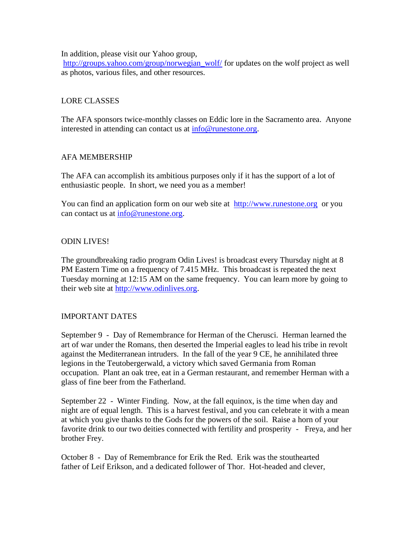In addition, please visit our Yahoo group,

[http://groups.yahoo.com/group/norwegian\\_wolf/](http://groups.yahoo.com/group/norwegian_wolf/) for updates on the wolf project as well as photos, various files, and other resources.

# LORE CLASSES

The AFA sponsors twice-monthly classes on Eddic lore in the Sacramento area. Anyone interested in attending can contact us at [info@runestone.org.](mailto:info@runestone.org)

# AFA MEMBERSHIP

The AFA can accomplish its ambitious purposes only if it has the support of a lot of enthusiastic people. In short, we need you as a member!

You can find an application form on our web site at [http://www.runestone.org](http://www.runestone.org/) or you can contact us at [info@runestone.org.](mailto:info@runestone.org)

# ODIN LIVES!

The groundbreaking radio program Odin Lives! is broadcast every Thursday night at 8 PM Eastern Time on a frequency of 7.415 MHz. This broadcast is repeated the next Tuesday morning at 12:15 AM on the same frequency. You can learn more by going to their web site at [http://www.odinlives.org.](http://www.odinlives.org/)

# IMPORTANT DATES

September 9 - Day of Remembrance for Herman of the Cherusci. Herman learned the art of war under the Romans, then deserted the Imperial eagles to lead his tribe in revolt against the Mediterranean intruders. In the fall of the year 9 CE, he annihilated three legions in the Teutobergerwald, a victory which saved Germania from Roman occupation. Plant an oak tree, eat in a German restaurant, and remember Herman with a glass of fine beer from the Fatherland.

September 22 - Winter Finding. Now, at the fall equinox, is the time when day and night are of equal length. This is a harvest festival, and you can celebrate it with a mean at which you give thanks to the Gods for the powers of the soil. Raise a horn of your favorite drink to our two deities connected with fertility and prosperity - Freya, and her brother Frey.

October 8 - Day of Remembrance for Erik the Red. Erik was the stouthearted father of Leif Erikson, and a dedicated follower of Thor. Hot-headed and clever,